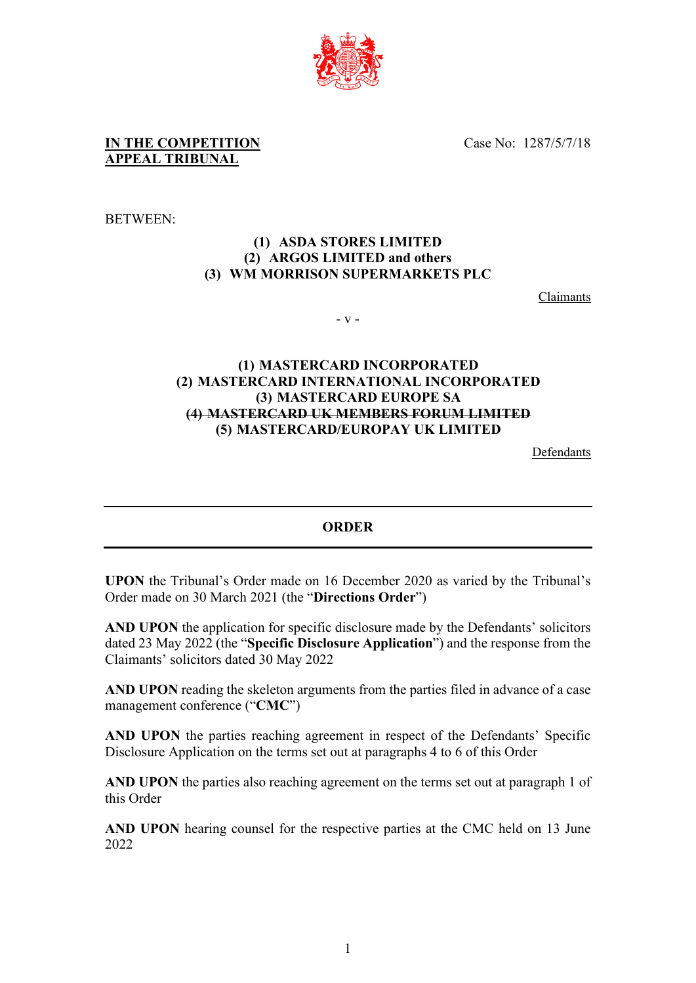

Case No: 1287/5/7/18

**IN THE COMPETITION APPEAL TRIBUNAL**

BETWEEN:

## **(1) ASDA STORES LIMITED (2) ARGOS LIMITED and others (3) WM MORRISON SUPERMARKETS PLC**

Claimants

- v -

## **(1) MASTERCARD INCORPORATED (2) MASTERCARD INTERNATIONAL INCORPORATED (3) MASTERCARD EUROPE SA (4) MASTERCARD UK MEMBERS FORUM LIMITED (5) MASTERCARD/EUROPAY UK LIMITED**

Defendants

### **ORDER**

**UPON** the Tribunal's Order made on 16 December 2020 as varied by the Tribunal's Order made on 30 March 2021 (the "**Directions Order**")

**AND UPON** the application for specific disclosure made by the Defendants' solicitors dated 23 May 2022 (the "**Specific Disclosure Application**") and the response from the Claimants' solicitors dated 30 May 2022

**AND UPON** reading the skeleton arguments from the parties filed in advance of a case management conference ("**CMC**")

**AND UPON** the parties reaching agreement in respect of the Defendants' Specific Disclosure Application on the terms set out at paragraphs 4 to 6 of this Order

**AND UPON** the parties also reaching agreement on the terms set out at paragraph 1 of this Order

**AND UPON** hearing counsel for the respective parties at the CMC held on 13 June 2022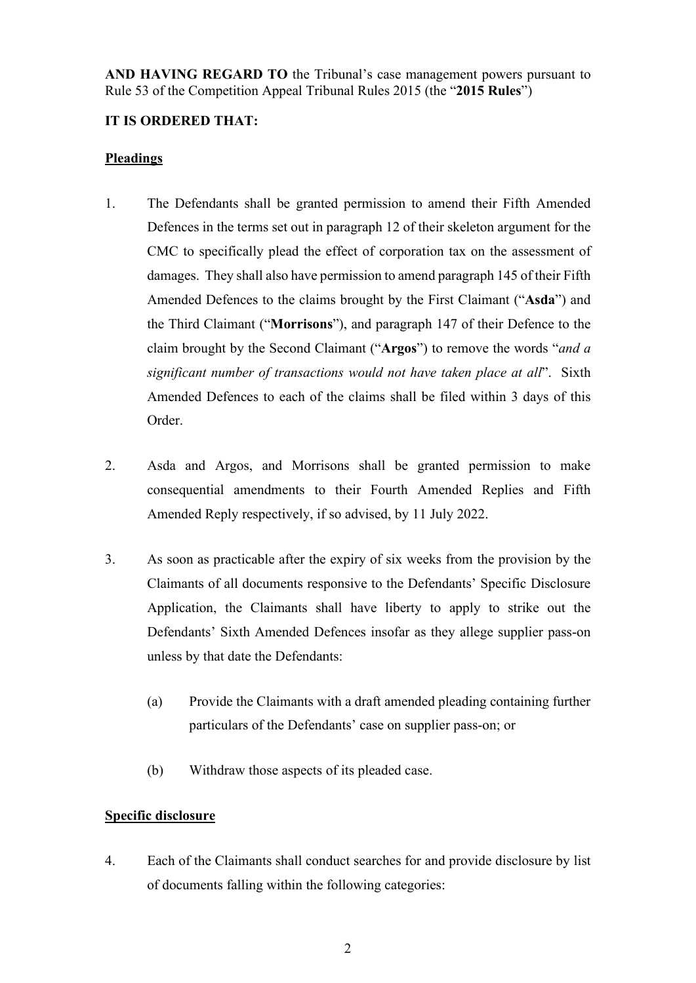**AND HAVING REGARD TO** the Tribunal's case management powers pursuant to Rule 53 of the Competition Appeal Tribunal Rules 2015 (the "**2015 Rules**")

# **IT IS ORDERED THAT:**

## **Pleadings**

- 1. The Defendants shall be granted permission to amend their Fifth Amended Defences in the terms set out in paragraph 12 of their skeleton argument for the CMC to specifically plead the effect of corporation tax on the assessment of damages. They shall also have permission to amend paragraph 145 of their Fifth Amended Defences to the claims brought by the First Claimant ("**Asda**") and the Third Claimant ("**Morrisons**"), and paragraph 147 of their Defence to the claim brought by the Second Claimant ("**Argos**") to remove the words "*and a significant number of transactions would not have taken place at all*". Sixth Amended Defences to each of the claims shall be filed within 3 days of this Order.
- 2. Asda and Argos, and Morrisons shall be granted permission to make consequential amendments to their Fourth Amended Replies and Fifth Amended Reply respectively, if so advised, by 11 July 2022.
- 3. As soon as practicable after the expiry of six weeks from the provision by the Claimants of all documents responsive to the Defendants' Specific Disclosure Application, the Claimants shall have liberty to apply to strike out the Defendants' Sixth Amended Defences insofar as they allege supplier pass-on unless by that date the Defendants:
	- (a) Provide the Claimants with a draft amended pleading containing further particulars of the Defendants' case on supplier pass-on; or
	- (b) Withdraw those aspects of its pleaded case.

## **Specific disclosure**

4. Each of the Claimants shall conduct searches for and provide disclosure by list of documents falling within the following categories: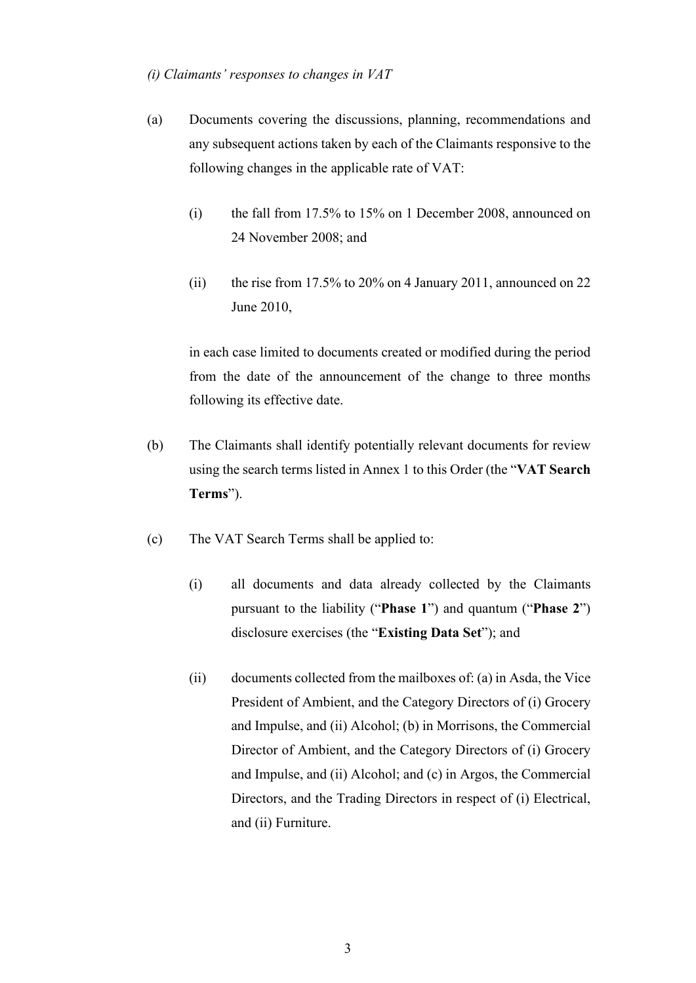#### *(i) Claimants' responses to changes in VAT*

- (a) Documents covering the discussions, planning, recommendations and any subsequent actions taken by each of the Claimants responsive to the following changes in the applicable rate of VAT:
	- (i) the fall from 17.5% to 15% on 1 December 2008, announced on 24 November 2008; and
	- (ii) the rise from 17.5% to 20% on 4 January 2011, announced on 22 June 2010,

in each case limited to documents created or modified during the period from the date of the announcement of the change to three months following its effective date.

- (b) The Claimants shall identify potentially relevant documents for review using the search terms listed in Annex 1 to this Order (the "**VAT Search Terms**").
- (c) The VAT Search Terms shall be applied to:
	- (i) all documents and data already collected by the Claimants pursuant to the liability ("**Phase 1**") and quantum ("**Phase 2**") disclosure exercises (the "**Existing Data Set**"); and
	- (ii) documents collected from the mailboxes of: (a) in Asda, the Vice President of Ambient, and the Category Directors of (i) Grocery and Impulse, and (ii) Alcohol; (b) in Morrisons, the Commercial Director of Ambient, and the Category Directors of (i) Grocery and Impulse, and (ii) Alcohol; and (c) in Argos, the Commercial Directors, and the Trading Directors in respect of (i) Electrical, and (ii) Furniture.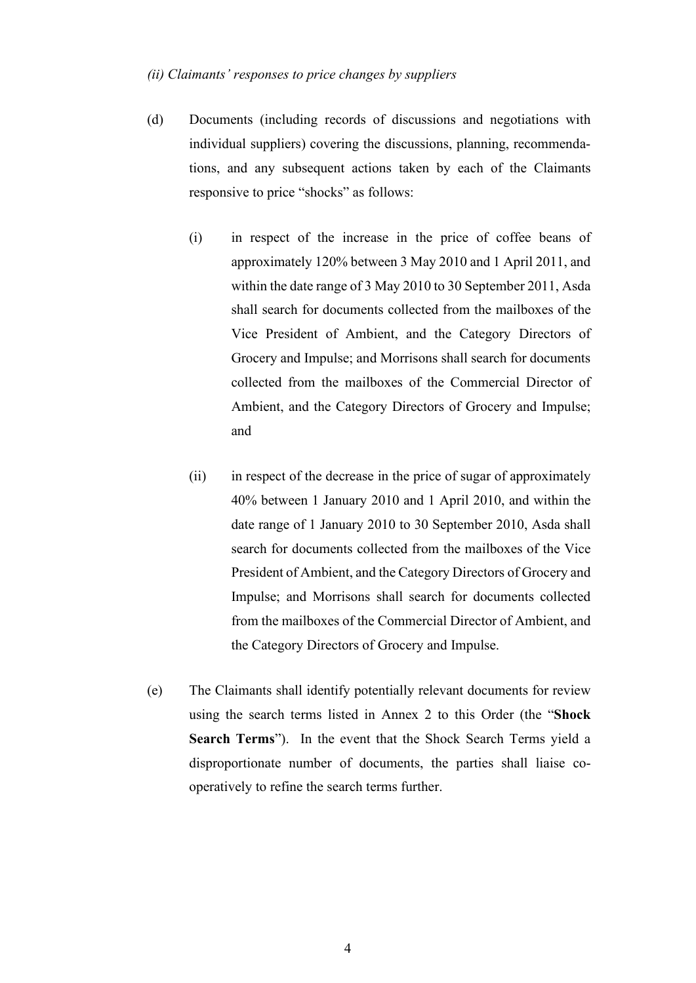#### *(ii) Claimants' responses to price changes by suppliers*

- (d) Documents (including records of discussions and negotiations with individual suppliers) covering the discussions, planning, recommendations, and any subsequent actions taken by each of the Claimants responsive to price "shocks" as follows:
	- (i) in respect of the increase in the price of coffee beans of approximately 120% between 3 May 2010 and 1 April 2011, and within the date range of 3 May 2010 to 30 September 2011, Asda shall search for documents collected from the mailboxes of the Vice President of Ambient, and the Category Directors of Grocery and Impulse; and Morrisons shall search for documents collected from the mailboxes of the Commercial Director of Ambient, and the Category Directors of Grocery and Impulse; and
	- (ii) in respect of the decrease in the price of sugar of approximately 40% between 1 January 2010 and 1 April 2010, and within the date range of 1 January 2010 to 30 September 2010, Asda shall search for documents collected from the mailboxes of the Vice President of Ambient, and the Category Directors of Grocery and Impulse; and Morrisons shall search for documents collected from the mailboxes of the Commercial Director of Ambient, and the Category Directors of Grocery and Impulse.
- (e) The Claimants shall identify potentially relevant documents for review using the search terms listed in Annex 2 to this Order (the "**Shock Search Terms**"). In the event that the Shock Search Terms yield a disproportionate number of documents, the parties shall liaise cooperatively to refine the search terms further.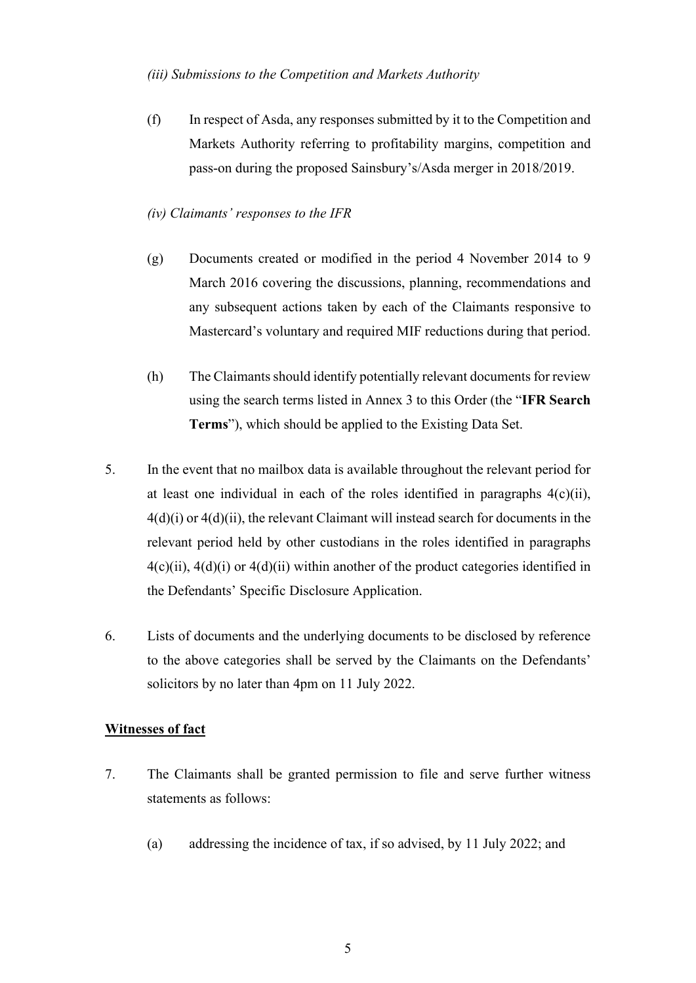### *(iii) Submissions to the Competition and Markets Authority*

(f) In respect of Asda, any responses submitted by it to the Competition and Markets Authority referring to profitability margins, competition and pass-on during the proposed Sainsbury's/Asda merger in 2018/2019.

### *(iv) Claimants' responses to the IFR*

- (g) Documents created or modified in the period 4 November 2014 to 9 March 2016 covering the discussions, planning, recommendations and any subsequent actions taken by each of the Claimants responsive to Mastercard's voluntary and required MIF reductions during that period.
- (h) The Claimants should identify potentially relevant documents for review using the search terms listed in Annex 3 to this Order (the "**IFR Search Terms**"), which should be applied to the Existing Data Set.
- 5. In the event that no mailbox data is available throughout the relevant period for at least one individual in each of the roles identified in paragraphs  $4(c)(ii)$ , 4(d)(i) or 4(d)(ii), the relevant Claimant will instead search for documents in the relevant period held by other custodians in the roles identified in paragraphs  $4(c)(ii)$ ,  $4(d)(i)$  or  $4(d)(ii)$  within another of the product categories identified in the Defendants' Specific Disclosure Application.
- 6. Lists of documents and the underlying documents to be disclosed by reference to the above categories shall be served by the Claimants on the Defendants' solicitors by no later than 4pm on 11 July 2022.

### **Witnesses of fact**

- 7. The Claimants shall be granted permission to file and serve further witness statements as follows:
	- (a) addressing the incidence of tax, if so advised, by 11 July 2022; and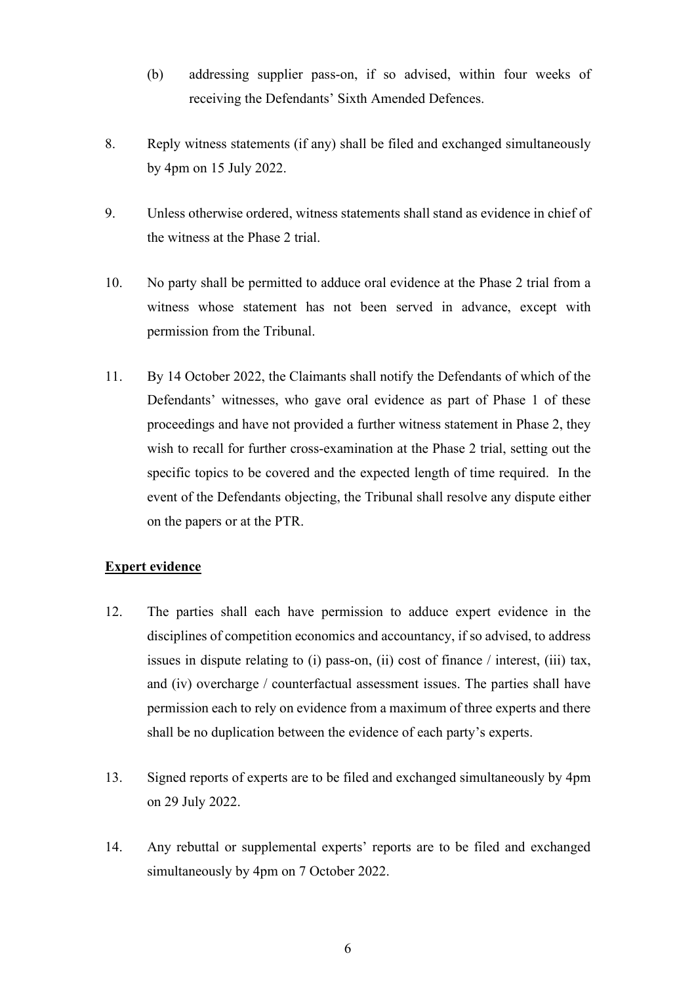- (b) addressing supplier pass-on, if so advised, within four weeks of receiving the Defendants' Sixth Amended Defences.
- 8. Reply witness statements (if any) shall be filed and exchanged simultaneously by 4pm on 15 July 2022.
- 9. Unless otherwise ordered, witness statements shall stand as evidence in chief of the witness at the Phase 2 trial.
- 10. No party shall be permitted to adduce oral evidence at the Phase 2 trial from a witness whose statement has not been served in advance, except with permission from the Tribunal.
- 11. By 14 October 2022, the Claimants shall notify the Defendants of which of the Defendants' witnesses, who gave oral evidence as part of Phase 1 of these proceedings and have not provided a further witness statement in Phase 2, they wish to recall for further cross-examination at the Phase 2 trial, setting out the specific topics to be covered and the expected length of time required. In the event of the Defendants objecting, the Tribunal shall resolve any dispute either on the papers or at the PTR.

### **Expert evidence**

- 12. The parties shall each have permission to adduce expert evidence in the disciplines of competition economics and accountancy, if so advised, to address issues in dispute relating to (i) pass-on, (ii) cost of finance / interest, (iii) tax, and (iv) overcharge / counterfactual assessment issues. The parties shall have permission each to rely on evidence from a maximum of three experts and there shall be no duplication between the evidence of each party's experts.
- 13. Signed reports of experts are to be filed and exchanged simultaneously by 4pm on 29 July 2022.
- 14. Any rebuttal or supplemental experts' reports are to be filed and exchanged simultaneously by 4pm on 7 October 2022.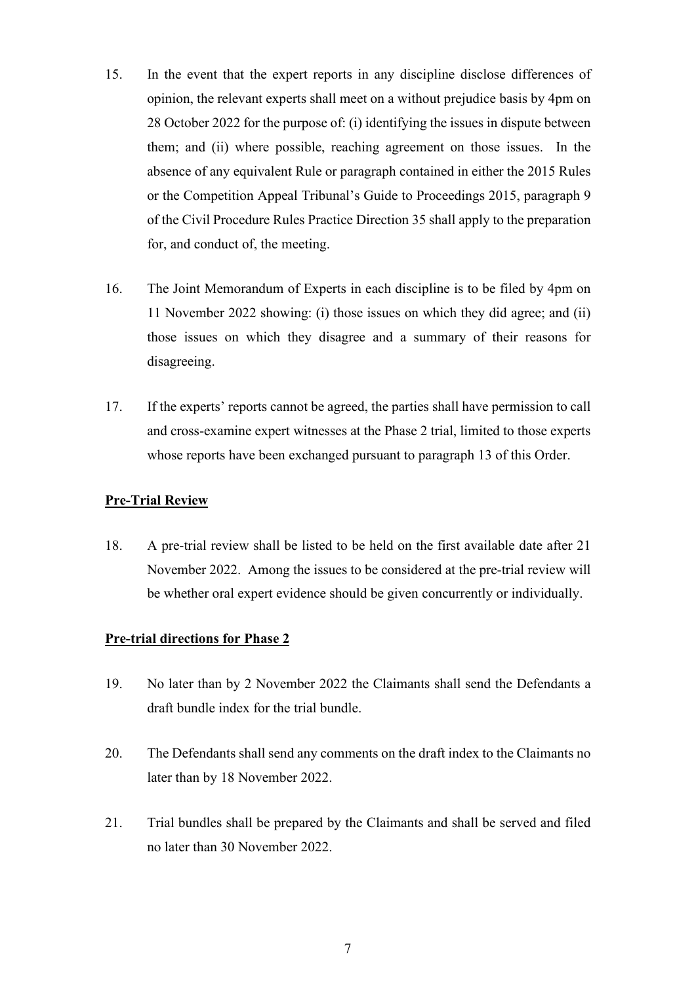- 15. In the event that the expert reports in any discipline disclose differences of opinion, the relevant experts shall meet on a without prejudice basis by 4pm on 28 October 2022 for the purpose of: (i) identifying the issues in dispute between them; and (ii) where possible, reaching agreement on those issues. In the absence of any equivalent Rule or paragraph contained in either the 2015 Rules or the Competition Appeal Tribunal's Guide to Proceedings 2015, paragraph 9 of the Civil Procedure Rules Practice Direction 35 shall apply to the preparation for, and conduct of, the meeting.
- 16. The Joint Memorandum of Experts in each discipline is to be filed by 4pm on 11 November 2022 showing: (i) those issues on which they did agree; and (ii) those issues on which they disagree and a summary of their reasons for disagreeing.
- 17. If the experts' reports cannot be agreed, the parties shall have permission to call and cross-examine expert witnesses at the Phase 2 trial, limited to those experts whose reports have been exchanged pursuant to paragraph 13 of this Order.

### **Pre-Trial Review**

18. A pre-trial review shall be listed to be held on the first available date after 21 November 2022. Among the issues to be considered at the pre-trial review will be whether oral expert evidence should be given concurrently or individually.

### **Pre-trial directions for Phase 2**

- 19. No later than by 2 November 2022 the Claimants shall send the Defendants a draft bundle index for the trial bundle.
- 20. The Defendants shall send any comments on the draft index to the Claimants no later than by 18 November 2022.
- 21. Trial bundles shall be prepared by the Claimants and shall be served and filed no later than 30 November 2022.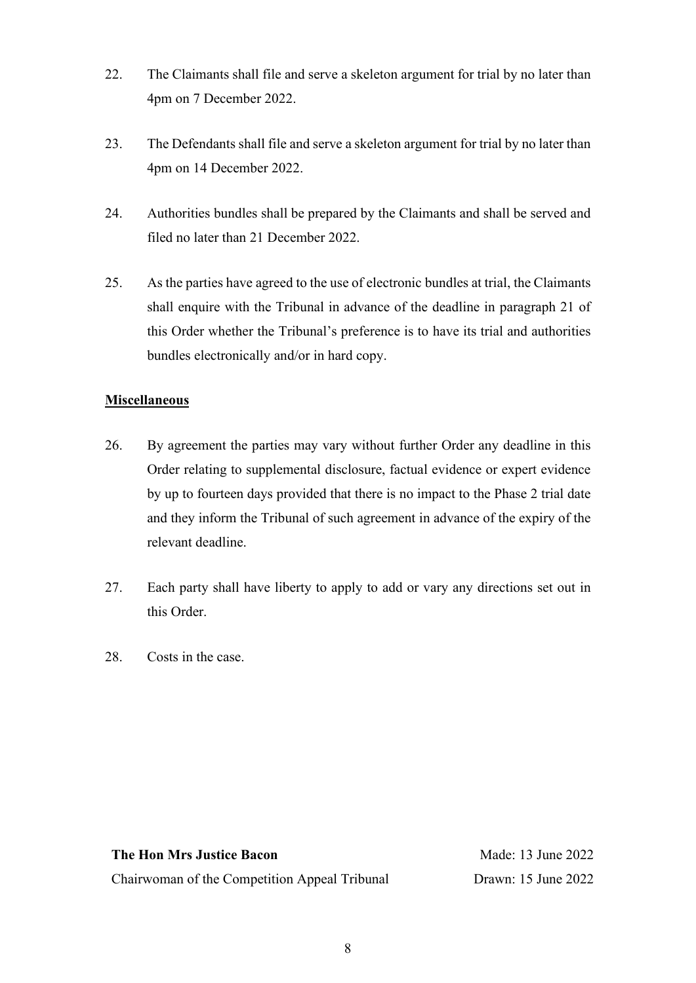- 22. The Claimants shall file and serve a skeleton argument for trial by no later than 4pm on 7 December 2022.
- 23. The Defendants shall file and serve a skeleton argument for trial by no later than 4pm on 14 December 2022.
- 24. Authorities bundles shall be prepared by the Claimants and shall be served and filed no later than 21 December 2022.
- 25. As the parties have agreed to the use of electronic bundles at trial, the Claimants shall enquire with the Tribunal in advance of the deadline in paragraph 21 of this Order whether the Tribunal's preference is to have its trial and authorities bundles electronically and/or in hard copy.

## **Miscellaneous**

- 26. By agreement the parties may vary without further Order any deadline in this Order relating to supplemental disclosure, factual evidence or expert evidence by up to fourteen days provided that there is no impact to the Phase 2 trial date and they inform the Tribunal of such agreement in advance of the expiry of the relevant deadline.
- 27. Each party shall have liberty to apply to add or vary any directions set out in this Order.
- 28. Costs in the case.

## **The Hon Mrs Justice Bacon**

Chairwoman of the Competition Appeal Tribunal

Made: 13 June 2022 Drawn: 15 June 2022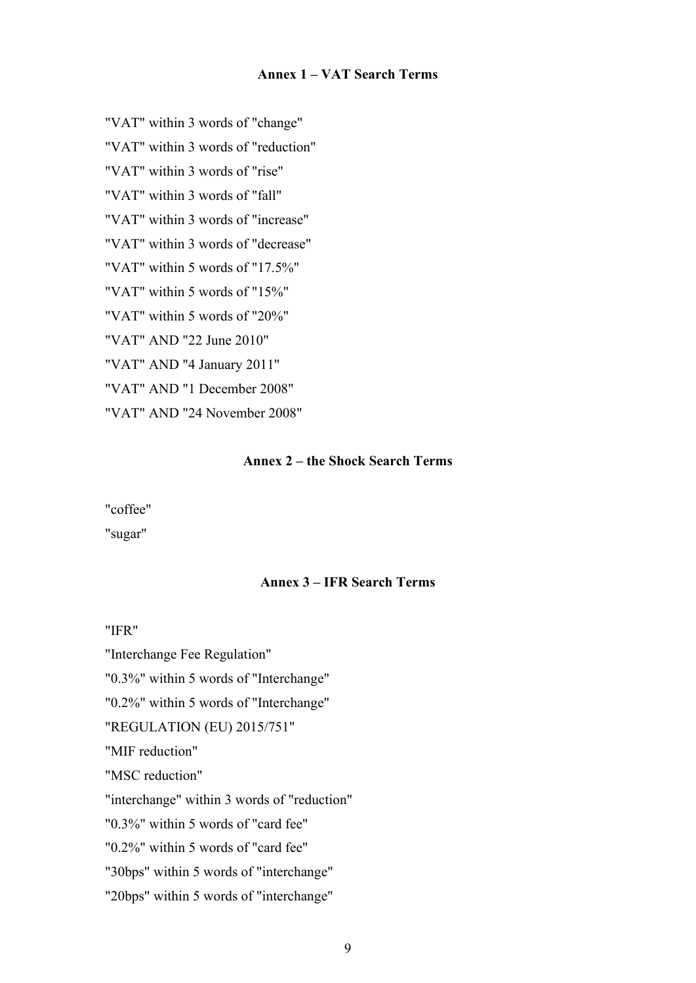#### **Annex 1 – VAT Search Terms**

"VAT" within 3 words of "change"

"VAT" within 3 words of "reduction"

"VAT" within 3 words of "rise"

"VAT" within 3 words of "fall"

"VAT" within 3 words of "increase"

"VAT" within 3 words of "decrease"

"VAT" within 5 words of "17.5%"

"VAT" within 5 words of "15%"

"VAT" within 5 words of "20%"

"VAT" AND "22 June 2010"

"VAT" AND "4 January 2011"

"VAT" AND "1 December 2008"

"VAT" AND "24 November 2008"

### **Annex 2 – the Shock Search Terms**

"coffee"

"sugar"

### **Annex 3 – IFR Search Terms**

"IFR"

"Interchange Fee Regulation"

"0.3%" within 5 words of "Interchange"

"0.2%" within 5 words of "Interchange"

"REGULATION (EU) 2015/751"

"MIF reduction"

"MSC reduction"

"interchange" within 3 words of "reduction"

"0.3%" within 5 words of "card fee"

"0.2%" within 5 words of "card fee"

"30bps" within 5 words of "interchange"

"20bps" within 5 words of "interchange"